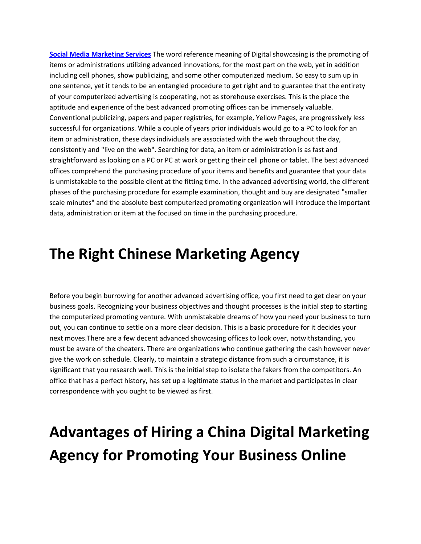**[Social Media Marketing Services](https://puzzleasia.com.au/)** The word reference meaning of Digital showcasing is the promoting of items or administrations utilizing advanced innovations, for the most part on the web, yet in addition including cell phones, show publicizing, and some other computerized medium. So easy to sum up in one sentence, yet it tends to be an entangled procedure to get right and to guarantee that the entirety of your computerized advertising is cooperating, not as storehouse exercises. This is the place the aptitude and experience of the best advanced promoting offices can be immensely valuable. Conventional publicizing, papers and paper registries, for example, Yellow Pages, are progressively less successful for organizations. While a couple of years prior individuals would go to a PC to look for an item or administration, these days individuals are associated with the web throughout the day, consistently and "live on the web". Searching for data, an item or administration is as fast and straightforward as looking on a PC or PC at work or getting their cell phone or tablet. The best advanced offices comprehend the purchasing procedure of your items and benefits and guarantee that your data is unmistakable to the possible client at the fitting time. In the advanced advertising world, the different phases of the purchasing procedure for example examination, thought and buy are designated "smaller scale minutes" and the absolute best computerized promoting organization will introduce the important data, administration or item at the focused on time in the purchasing procedure.

#### **The Right Chinese Marketing Agency**

Before you begin burrowing for another advanced advertising office, you first need to get clear on your business goals. Recognizing your business objectives and thought processes is the initial step to starting the computerized promoting venture. With unmistakable dreams of how you need your business to turn out, you can continue to settle on a more clear decision. This is a basic procedure for it decides your next moves.There are a few decent advanced showcasing offices to look over, notwithstanding, you must be aware of the cheaters. There are organizations who continue gathering the cash however never give the work on schedule. Clearly, to maintain a strategic distance from such a circumstance, it is significant that you research well. This is the initial step to isolate the fakers from the competitors. An office that has a perfect history, has set up a legitimate status in the market and participates in clear correspondence with you ought to be viewed as first.

## **Advantages of Hiring a China Digital Marketing Agency for Promoting Your Business Online**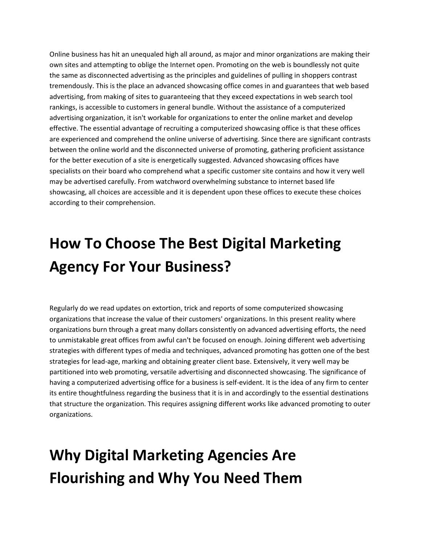Online business has hit an unequaled high all around, as major and minor organizations are making their own sites and attempting to oblige the Internet open. Promoting on the web is boundlessly not quite the same as disconnected advertising as the principles and guidelines of pulling in shoppers contrast tremendously. This is the place an advanced showcasing office comes in and guarantees that web based advertising, from making of sites to guaranteeing that they exceed expectations in web search tool rankings, is accessible to customers in general bundle. Without the assistance of a computerized advertising organization, it isn't workable for organizations to enter the online market and develop effective. The essential advantage of recruiting a computerized showcasing office is that these offices are experienced and comprehend the online universe of advertising. Since there are significant contrasts between the online world and the disconnected universe of promoting, gathering proficient assistance for the better execution of a site is energetically suggested. Advanced showcasing offices have specialists on their board who comprehend what a specific customer site contains and how it very well may be advertised carefully. From watchword overwhelming substance to internet based life showcasing, all choices are accessible and it is dependent upon these offices to execute these choices according to their comprehension.

## **How To Choose The Best Digital Marketing Agency For Your Business?**

Regularly do we read updates on extortion, trick and reports of some computerized showcasing organizations that increase the value of their customers' organizations. In this present reality where organizations burn through a great many dollars consistently on advanced advertising efforts, the need to unmistakable great offices from awful can't be focused on enough. Joining different web advertising strategies with different types of media and techniques, advanced promoting has gotten one of the best strategies for lead-age, marking and obtaining greater client base. Extensively, it very well may be partitioned into web promoting, versatile advertising and disconnected showcasing. The significance of having a computerized advertising office for a business is self-evident. It is the idea of any firm to center its entire thoughtfulness regarding the business that it is in and accordingly to the essential destinations that structure the organization. This requires assigning different works like advanced promoting to outer organizations.

# **Why Digital Marketing Agencies Are Flourishing and Why You Need Them**